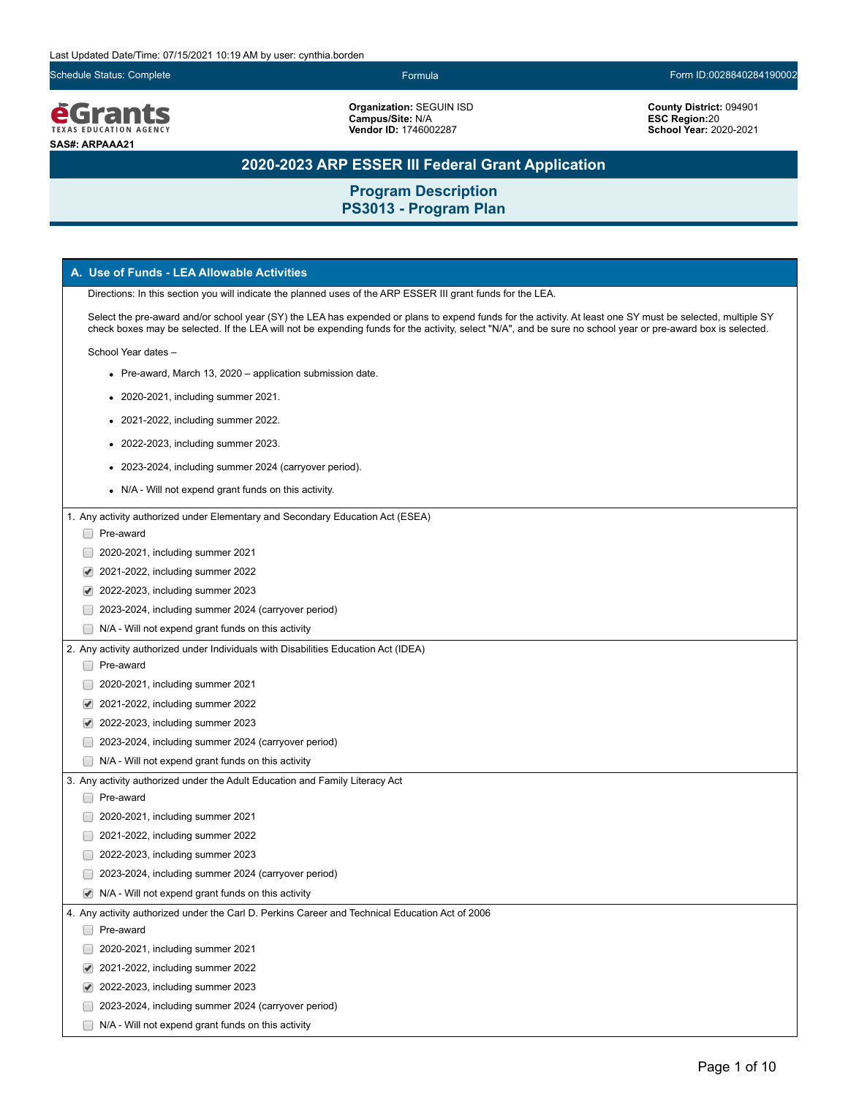Schedule Status: Complete Form ID:0028840284190002



**Organization:** SEGUIN ISD **Campus/Site:** N/A **Vendor ID:** 1746002287

**County District:** 094901 **ESC Region:**20 **School Year:** 2020-2021

# **2020-2023 ARP ESSER III Federal Grant Application**

| A. Use of Funds - LEA Allowable Activities                                                                                                                                                                                                                                                                                 |
|----------------------------------------------------------------------------------------------------------------------------------------------------------------------------------------------------------------------------------------------------------------------------------------------------------------------------|
| Directions: In this section you will indicate the planned uses of the ARP ESSER III grant funds for the LEA.                                                                                                                                                                                                               |
| Select the pre-award and/or school year (SY) the LEA has expended or plans to expend funds for the activity. At least one SY must be selected, multiple SY<br>check boxes may be selected. If the LEA will not be expending funds for the activity, select "N/A", and be sure no school year or pre-award box is selected. |
| School Year dates -                                                                                                                                                                                                                                                                                                        |
| • Pre-award, March 13, 2020 – application submission date.                                                                                                                                                                                                                                                                 |
| • 2020-2021, including summer 2021.                                                                                                                                                                                                                                                                                        |
| • 2021-2022, including summer 2022.                                                                                                                                                                                                                                                                                        |
| • 2022-2023, including summer 2023.                                                                                                                                                                                                                                                                                        |
| • 2023-2024, including summer 2024 (carryover period).                                                                                                                                                                                                                                                                     |
| • N/A - Will not expend grant funds on this activity.                                                                                                                                                                                                                                                                      |
| 1. Any activity authorized under Elementary and Secondary Education Act (ESEA)                                                                                                                                                                                                                                             |
| □ Pre-award                                                                                                                                                                                                                                                                                                                |
| 2020-2021, including summer 2021                                                                                                                                                                                                                                                                                           |
| 2021-2022, including summer 2022<br>$\blacktriangledown$                                                                                                                                                                                                                                                                   |
| 2022-2023, including summer 2023<br>✔                                                                                                                                                                                                                                                                                      |
| 2023-2024, including summer 2024 (carryover period)                                                                                                                                                                                                                                                                        |
| N/A - Will not expend grant funds on this activity                                                                                                                                                                                                                                                                         |
| 2. Any activity authorized under Individuals with Disabilities Education Act (IDEA)                                                                                                                                                                                                                                        |
| Pre-award                                                                                                                                                                                                                                                                                                                  |
| 2020-2021, including summer 2021                                                                                                                                                                                                                                                                                           |
| 2021-2022, including summer 2022                                                                                                                                                                                                                                                                                           |
| 2022-2023, including summer 2023<br>✔                                                                                                                                                                                                                                                                                      |
| 2023-2024, including summer 2024 (carryover period)                                                                                                                                                                                                                                                                        |
| N/A - Will not expend grant funds on this activity                                                                                                                                                                                                                                                                         |
| 3. Any activity authorized under the Adult Education and Family Literacy Act                                                                                                                                                                                                                                               |
| Pre-award                                                                                                                                                                                                                                                                                                                  |
| 2020-2021, including summer 2021                                                                                                                                                                                                                                                                                           |
| 2021-2022, including summer 2022                                                                                                                                                                                                                                                                                           |
| 2022-2023, including summer 2023                                                                                                                                                                                                                                                                                           |
| 2023-2024, including summer 2024 (carryover period)                                                                                                                                                                                                                                                                        |
| $\blacktriangleright$ N/A - Will not expend grant funds on this activity                                                                                                                                                                                                                                                   |
| 4. Any activity authorized under the Carl D. Perkins Career and Technical Education Act of 2006                                                                                                                                                                                                                            |
| Pre-award                                                                                                                                                                                                                                                                                                                  |
| 2020-2021, including summer 2021                                                                                                                                                                                                                                                                                           |
| 2021-2022, including summer 2022                                                                                                                                                                                                                                                                                           |
| 2022-2023, including summer 2023                                                                                                                                                                                                                                                                                           |
| 2023-2024, including summer 2024 (carryover period)                                                                                                                                                                                                                                                                        |
| N/A - Will not expend grant funds on this activity                                                                                                                                                                                                                                                                         |
|                                                                                                                                                                                                                                                                                                                            |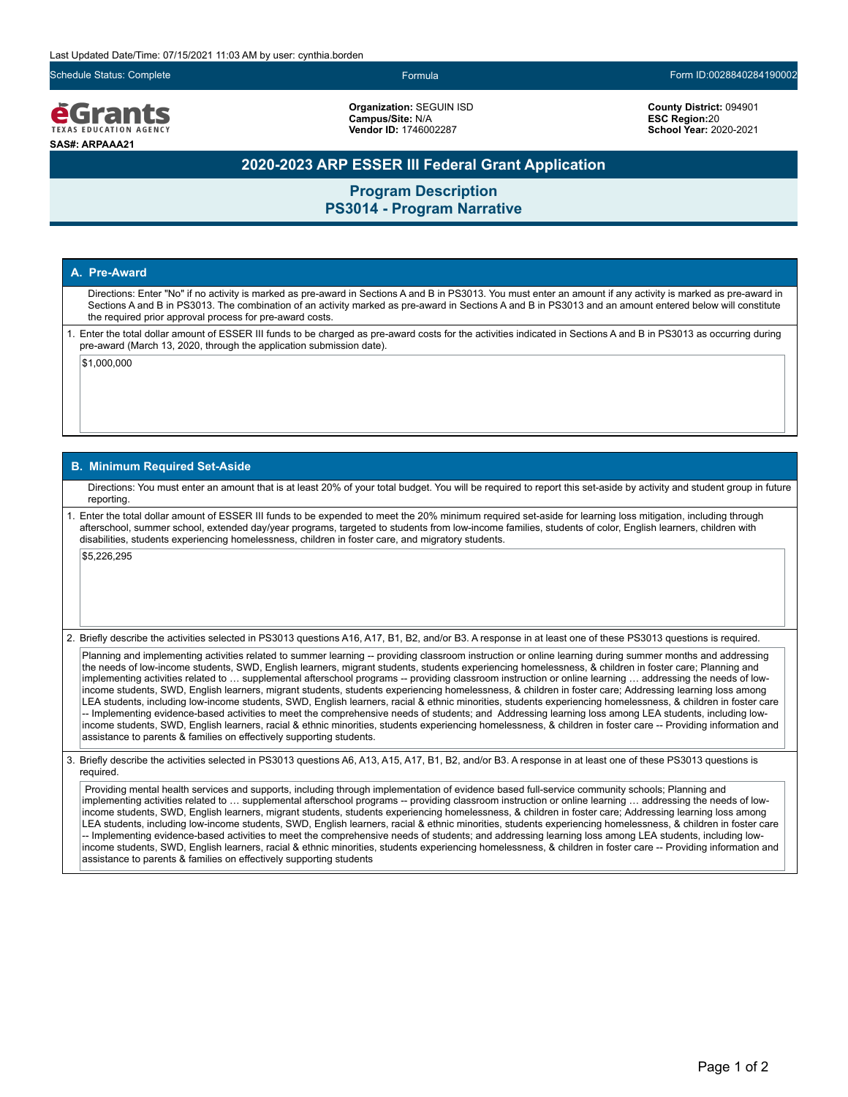Schedule Status: Complete Formula Form ID:0028840284190002

ecrants **EXAS EDUCATION AGEN SAS#: ARPAAA21**

**Organization:** SEGUIN ISD **Campus/Site:** N/A **Vendor ID:** 1746002287

**County District:** 094901 **ESC Region:**20 **School Year:** 2020-2021

### **2020-2023 ARP ESSER III Federal Grant Application**

**Program Description PS3014 - Program Narrative**

### **A. Pre-Award**

Directions: Enter "No" if no activity is marked as pre-award in Sections A and B in PS3013. You must enter an amount if any activity is marked as pre-award in Sections A and B in PS3013. The combination of an activity marked as pre-award in Sections A and B in PS3013 and an amount entered below will constitute the required prior approval process for pre-award costs.

1. Enter the total dollar amount of ESSER III funds to be charged as pre-award costs for the activities indicated in Sections A and B in PS3013 as occurring during pre-award (March 13, 2020, through the application submission date).

\$1,000,000

### **B. Minimum Required Set-Aside**

Directions: You must enter an amount that is at least 20% of your total budget. You will be required to report this set-aside by activity and student group in future reporting.

1. Enter the total dollar amount of ESSER III funds to be expended to meet the 20% minimum required set-aside for learning loss mitigation, including through afterschool, summer school, extended day/year programs, targeted to students from low-income families, students of color, English learners, children with disabilities, students experiencing homelessness, children in foster care, and migratory students.

\$5,226,295

2. Briefly describe the activities selected in PS3013 questions A16, A17, B1, B2, and/or B3. A response in at least one of these PS3013 questions is required.

Planning and implementing activities related to summer learning -- providing classroom instruction or online learning during summer months and addressing the needs of low-income students, SWD, English learners, migrant students, students experiencing homelessness, & children in foster care; Planning and implementing activities related to … supplemental afterschool programs -- providing classroom instruction or online learning … addressing the needs of lowincome students, SWD, English learners, migrant students, students experiencing homelessness, & children in foster care; Addressing learning loss among LEA students, including low-income students, SWD, English learners, racial & ethnic minorities, students experiencing homelessness, & children in foster care -- Implementing evidence-based activities to meet the comprehensive needs of students; and Addressing learning loss among LEA students, including lowincome students, SWD, English learners, racial & ethnic minorities, students experiencing homelessness, & children in foster care -- Providing information and assistance to parents & families on effectively supporting students.

3. Briefly describe the activities selected in PS3013 questions A6, A13, A15, A17, B1, B2, and/or B3. A response in at least one of these PS3013 questions is required.

 Providing mental health services and supports, including through implementation of evidence based full-service community schools; Planning and implementing activities related to ... supplemental afterschool programs -- providing classroom instruction or online learning ... addressing the needs of lowincome students, SWD, English learners, migrant students, students experiencing homelessness, & children in foster care; Addressing learning loss among LEA students, including low-income students, SWD, English learners, racial & ethnic minorities, students experiencing homelessness, & children in foster care -- Implementing evidence-based activities to meet the comprehensive needs of students; and addressing learning loss among LEA students, including lowincome students, SWD, English learners, racial & ethnic minorities, students experiencing homelessness, & children in foster care -- Providing information and assistance to parents & families on effectively supporting students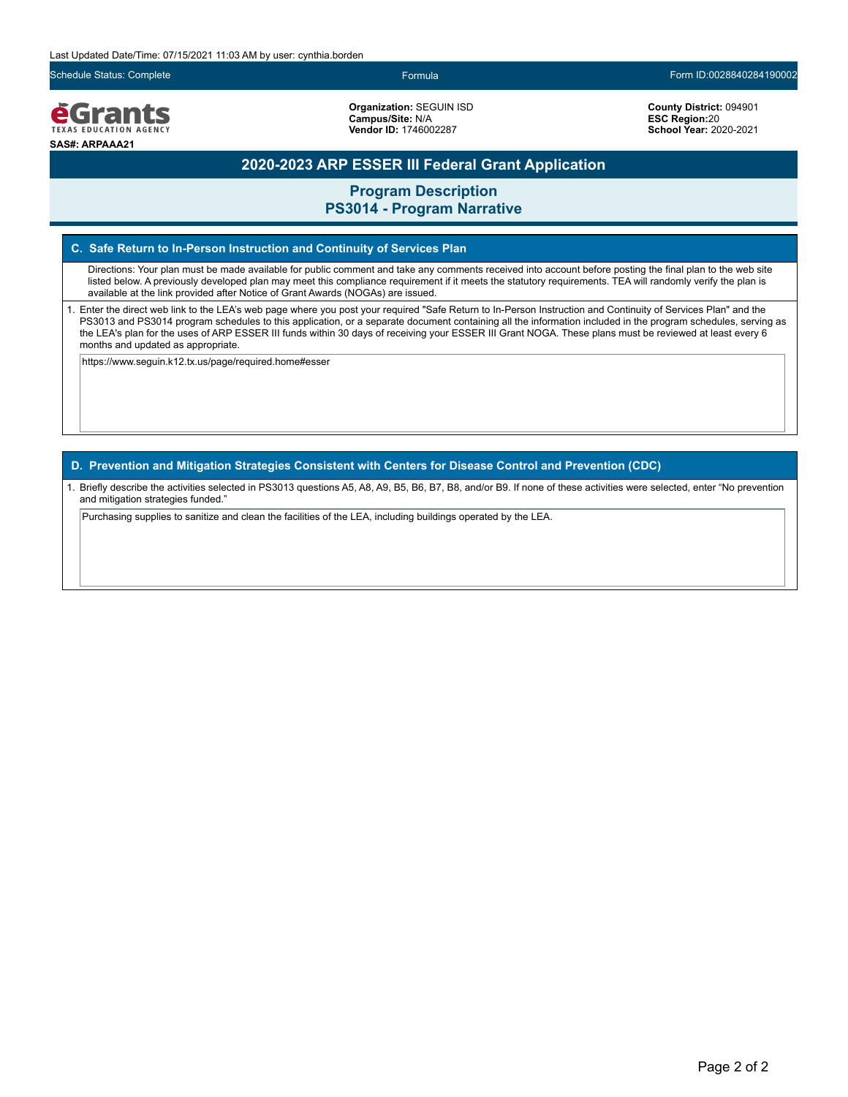

**Organization:** SEGUIN ISD **Campus/Site:** N/A **Vendor ID:** 1746002287

Schedule Status: Complete Formula Form ID:0028840284190002

**County District:** 094901 **ESC Region:**20 **School Year:** 2020-2021

## **2020-2023 ARP ESSER III Federal Grant Application**

**Program Description PS3014 - Program Narrative**

### **C. Safe Return to In-Person Instruction and Continuity of Services Plan**

Directions: Your plan must be made available for public comment and take any comments received into account before posting the final plan to the web site listed below. A previously developed plan may meet this compliance requirement if it meets the statutory requirements. TEA will randomly verify the plan is available at the link provided after Notice of Grant Awards (NOGAs) are issued.

1. Enter the direct web link to the LEA's web page where you post your required "Safe Return to In-Person Instruction and Continuity of Services Plan" and the PS3013 and PS3014 program schedules to this application, or a separate document containing all the information included in the program schedules, serving as the LEA's plan for the uses of ARP ESSER III funds within 30 days of receiving your ESSER III Grant NOGA. These plans must be reviewed at least every 6 months and updated as appropriate.

https://www.seguin.k12.tx.us/page/required.home#esser

### **D. Prevention and Mitigation Strategies Consistent with Centers for Disease Control and Prevention (CDC)**

1. Briefly describe the activities selected in PS3013 questions A5, A8, A9, B5, B6, B7, B8, and/or B9. If none of these activities were selected, enter "No prevention and mitigation strategies funded."

Purchasing supplies to sanitize and clean the facilities of the LEA, including buildings operated by the LEA.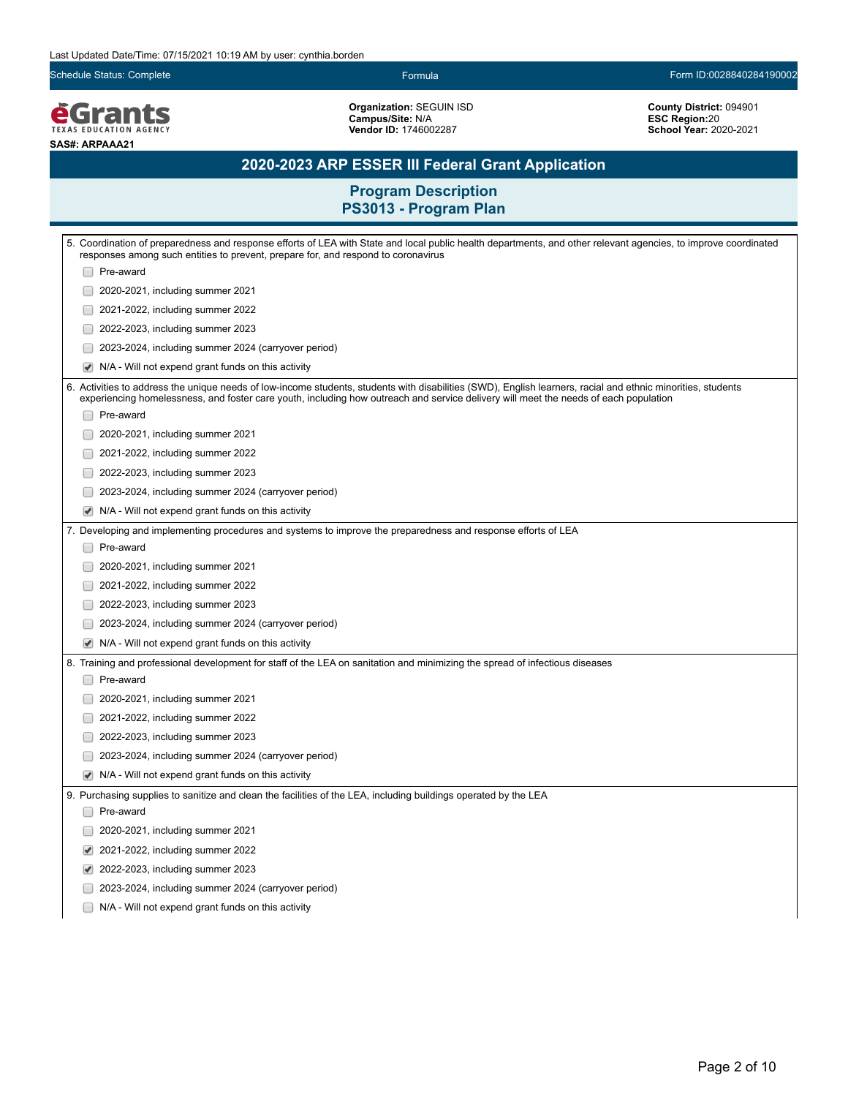Schedule Status: Complete Form ID:0028840284190002

*<u>EGrants</u>* **SAS#: ARPAAA21**

**Organization:** SEGUIN ISD **Campus/Site:** N/A **Vendor ID:** 1746002287

**County District:** 094901 **ESC Region:**20 **School Year:** 2020-2021

# **2020-2023 ARP ESSER III Federal Grant Application**

|   | 5. Coordination of preparedness and response efforts of LEA with State and local public health departments, and other relevant agencies, to improve coordinated<br>responses among such entities to prevent, prepare for, and respond to coronavirus                                                 |
|---|------------------------------------------------------------------------------------------------------------------------------------------------------------------------------------------------------------------------------------------------------------------------------------------------------|
|   | Pre-award                                                                                                                                                                                                                                                                                            |
|   | 2020-2021, including summer 2021                                                                                                                                                                                                                                                                     |
|   | 2021-2022, including summer 2022                                                                                                                                                                                                                                                                     |
|   | 2022-2023, including summer 2023                                                                                                                                                                                                                                                                     |
|   | 2023-2024, including summer 2024 (carryover period)                                                                                                                                                                                                                                                  |
|   | N/A - Will not expend grant funds on this activity<br>✔                                                                                                                                                                                                                                              |
|   | 6. Activities to address the unique needs of low-income students, students with disabilities (SWD), English learners, racial and ethnic minorities, students<br>experiencing homelessness, and foster care youth, including how outreach and service delivery will meet the needs of each population |
|   | Pre-award                                                                                                                                                                                                                                                                                            |
|   | 2020-2021, including summer 2021                                                                                                                                                                                                                                                                     |
|   | 2021-2022, including summer 2022                                                                                                                                                                                                                                                                     |
|   | 2022-2023, including summer 2023                                                                                                                                                                                                                                                                     |
|   | 2023-2024, including summer 2024 (carryover period)                                                                                                                                                                                                                                                  |
| ✔ | N/A - Will not expend grant funds on this activity                                                                                                                                                                                                                                                   |
|   | 7. Developing and implementing procedures and systems to improve the preparedness and response efforts of LEA                                                                                                                                                                                        |
|   | Pre-award                                                                                                                                                                                                                                                                                            |
|   | 2020-2021, including summer 2021                                                                                                                                                                                                                                                                     |
|   | 2021-2022, including summer 2022                                                                                                                                                                                                                                                                     |
|   | 2022-2023, including summer 2023                                                                                                                                                                                                                                                                     |
|   | 2023-2024, including summer 2024 (carryover period)                                                                                                                                                                                                                                                  |
|   | N/A - Will not expend grant funds on this activity<br>✔                                                                                                                                                                                                                                              |
|   | 8. Training and professional development for staff of the LEA on sanitation and minimizing the spread of infectious diseases                                                                                                                                                                         |
|   | Pre-award                                                                                                                                                                                                                                                                                            |
|   | 2020-2021, including summer 2021                                                                                                                                                                                                                                                                     |
|   | 2021-2022, including summer 2022                                                                                                                                                                                                                                                                     |
|   | 2022-2023, including summer 2023                                                                                                                                                                                                                                                                     |
|   | 2023-2024, including summer 2024 (carryover period)                                                                                                                                                                                                                                                  |
|   | N/A - Will not expend grant funds on this activity<br>$\blacktriangledown$                                                                                                                                                                                                                           |
|   | 9. Purchasing supplies to sanitize and clean the facilities of the LEA, including buildings operated by the LEA                                                                                                                                                                                      |
|   | Pre-award                                                                                                                                                                                                                                                                                            |
|   | 2020-2021, including summer 2021                                                                                                                                                                                                                                                                     |
|   | ✔<br>2021-2022, including summer 2022                                                                                                                                                                                                                                                                |
|   | 2022-2023, including summer 2023<br>✔                                                                                                                                                                                                                                                                |
|   | 2023-2024, including summer 2024 (carryover period)                                                                                                                                                                                                                                                  |
|   | N/A - Will not expend grant funds on this activity                                                                                                                                                                                                                                                   |
|   |                                                                                                                                                                                                                                                                                                      |
|   |                                                                                                                                                                                                                                                                                                      |
|   |                                                                                                                                                                                                                                                                                                      |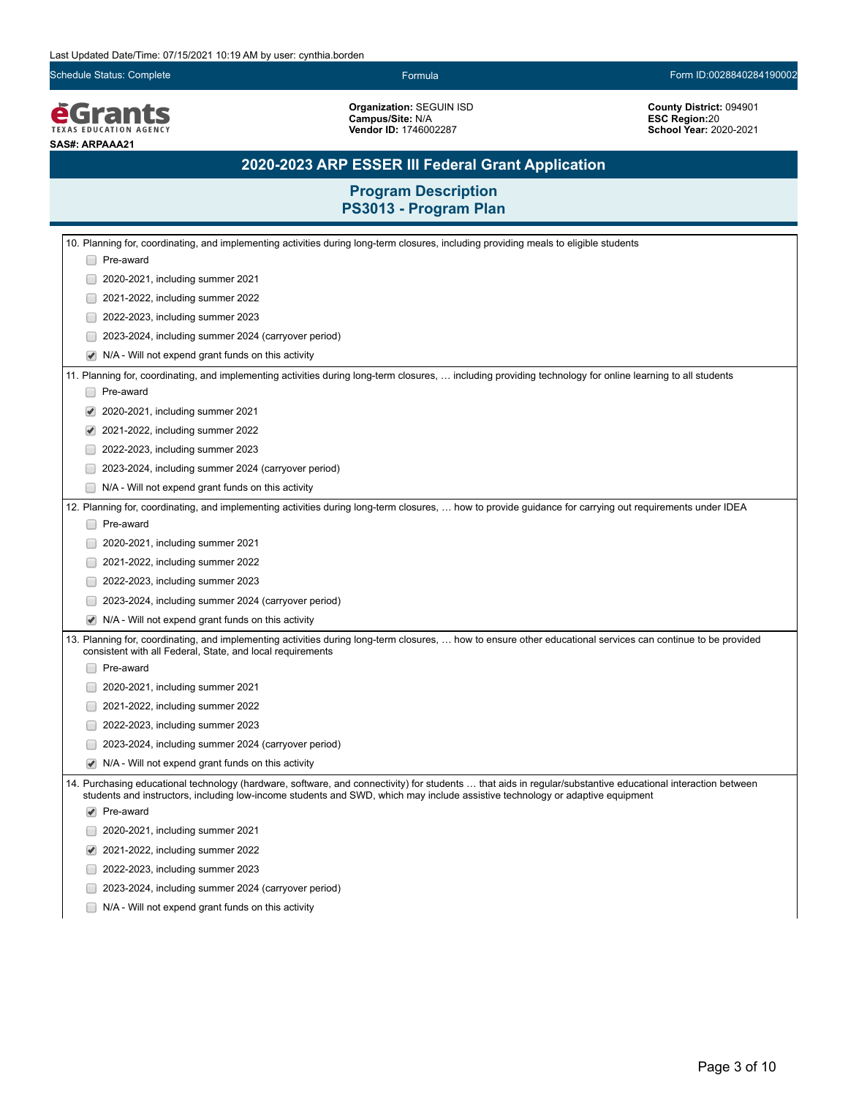Schedule Status: Complete Form ID:0028840284190002

*<u>EGrants</u>* **SAS#: ARPAAA21**

**Organization:** SEGUIN ISD **Campus/Site:** N/A **Vendor ID:** 1746002287

**County District:** 094901 **ESC Region:**20 **School Year:** 2020-2021

# **2020-2023 ARP ESSER III Federal Grant Application**

| 10. Planning for, coordinating, and implementing activities during long-term closures, including providing meals to eligible students                                                                                                                                                        |  |
|----------------------------------------------------------------------------------------------------------------------------------------------------------------------------------------------------------------------------------------------------------------------------------------------|--|
| □ Pre-award                                                                                                                                                                                                                                                                                  |  |
| 2020-2021, including summer 2021                                                                                                                                                                                                                                                             |  |
| 2021-2022, including summer 2022                                                                                                                                                                                                                                                             |  |
| 2022-2023, including summer 2023                                                                                                                                                                                                                                                             |  |
| 2023-2024, including summer 2024 (carryover period)                                                                                                                                                                                                                                          |  |
| N/A - Will not expend grant funds on this activity                                                                                                                                                                                                                                           |  |
| 11. Planning for, coordinating, and implementing activities during long-term closures,  including providing technology for online learning to all students                                                                                                                                   |  |
| Pre-award                                                                                                                                                                                                                                                                                    |  |
| 2020-2021, including summer 2021                                                                                                                                                                                                                                                             |  |
| 2021-2022, including summer 2022                                                                                                                                                                                                                                                             |  |
| 2022-2023, including summer 2023                                                                                                                                                                                                                                                             |  |
| 2023-2024, including summer 2024 (carryover period)                                                                                                                                                                                                                                          |  |
| N/A - Will not expend grant funds on this activity                                                                                                                                                                                                                                           |  |
| 12. Planning for, coordinating, and implementing activities during long-term closures,  how to provide guidance for carrying out requirements under IDEA                                                                                                                                     |  |
| Pre-award                                                                                                                                                                                                                                                                                    |  |
| 2020-2021, including summer 2021                                                                                                                                                                                                                                                             |  |
| 2021-2022, including summer 2022                                                                                                                                                                                                                                                             |  |
| 2022-2023, including summer 2023                                                                                                                                                                                                                                                             |  |
| 2023-2024, including summer 2024 (carryover period)                                                                                                                                                                                                                                          |  |
| N/A - Will not expend grant funds on this activity                                                                                                                                                                                                                                           |  |
| 13. Planning for, coordinating, and implementing activities during long-term closures,  how to ensure other educational services can continue to be provided<br>consistent with all Federal, State, and local requirements                                                                   |  |
| Pre-award                                                                                                                                                                                                                                                                                    |  |
| 2020-2021, including summer 2021                                                                                                                                                                                                                                                             |  |
| 2021-2022, including summer 2022                                                                                                                                                                                                                                                             |  |
| 2022-2023, including summer 2023                                                                                                                                                                                                                                                             |  |
| 2023-2024, including summer 2024 (carryover period)                                                                                                                                                                                                                                          |  |
| N/A - Will not expend grant funds on this activity                                                                                                                                                                                                                                           |  |
| 14. Purchasing educational technology (hardware, software, and connectivity) for students  that aids in regular/substantive educational interaction between<br>students and instructors, including low-income students and SWD, which may include assistive technology or adaptive equipment |  |
| $\blacktriangleright$ Pre-award                                                                                                                                                                                                                                                              |  |
| 2020-2021, including summer 2021                                                                                                                                                                                                                                                             |  |
| 2021-2022, including summer 2022                                                                                                                                                                                                                                                             |  |
| 2022-2023, including summer 2023                                                                                                                                                                                                                                                             |  |
| 2023-2024, including summer 2024 (carryover period)                                                                                                                                                                                                                                          |  |
| N/A - Will not expend grant funds on this activity                                                                                                                                                                                                                                           |  |
|                                                                                                                                                                                                                                                                                              |  |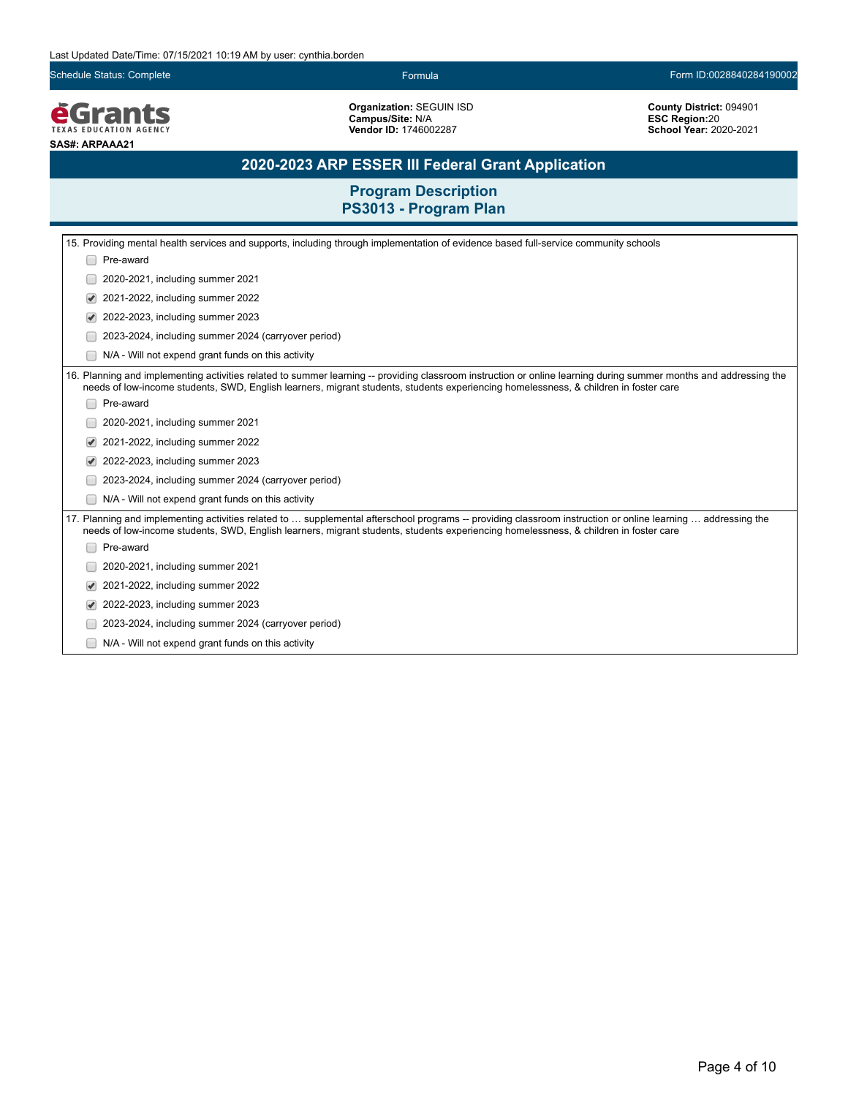Schedule Status: Complete Formula Form ID:0028840284190002

**EGrants SAS#: ARPAAA21**

**Organization:** SEGUIN ISD **Campus/Site:** N/A **Vendor ID:** 1746002287

**County District:** 094901 **ESC Region:**20 **School Year:** 2020-2021

# **2020-2023 ARP ESSER III Federal Grant Application**

|                                                                                                                                                                                                                                                                                                           | 15. Providing mental health services and supports, including through implementation of evidence based full-service community schools |  |  |
|-----------------------------------------------------------------------------------------------------------------------------------------------------------------------------------------------------------------------------------------------------------------------------------------------------------|--------------------------------------------------------------------------------------------------------------------------------------|--|--|
|                                                                                                                                                                                                                                                                                                           | Pre-award                                                                                                                            |  |  |
|                                                                                                                                                                                                                                                                                                           | 2020-2021, including summer 2021                                                                                                     |  |  |
| ✔                                                                                                                                                                                                                                                                                                         | 2021-2022, including summer 2022                                                                                                     |  |  |
|                                                                                                                                                                                                                                                                                                           | 2022-2023, including summer 2023                                                                                                     |  |  |
|                                                                                                                                                                                                                                                                                                           | 2023-2024, including summer 2024 (carryover period)                                                                                  |  |  |
|                                                                                                                                                                                                                                                                                                           | N/A - Will not expend grant funds on this activity                                                                                   |  |  |
| 16. Planning and implementing activities related to summer learning -- providing classroom instruction or online learning during summer months and addressing the<br>needs of low-income students, SWD, English learners, migrant students, students experiencing homelessness, & children in foster care |                                                                                                                                      |  |  |
|                                                                                                                                                                                                                                                                                                           | Pre-award                                                                                                                            |  |  |
|                                                                                                                                                                                                                                                                                                           | 2020-2021, including summer 2021                                                                                                     |  |  |
|                                                                                                                                                                                                                                                                                                           | 2021-2022, including summer 2022                                                                                                     |  |  |
|                                                                                                                                                                                                                                                                                                           | 2022-2023, including summer 2023                                                                                                     |  |  |
|                                                                                                                                                                                                                                                                                                           | 2023-2024, including summer 2024 (carryover period)                                                                                  |  |  |
|                                                                                                                                                                                                                                                                                                           | N/A - Will not expend grant funds on this activity                                                                                   |  |  |
| 17. Planning and implementing activities related to  supplemental afterschool programs -- providing classroom instruction or online learning  addressing the<br>needs of low-income students, SWD, English learners, migrant students, students experiencing homelessness, & children in foster care      |                                                                                                                                      |  |  |
|                                                                                                                                                                                                                                                                                                           | Pre-award                                                                                                                            |  |  |
|                                                                                                                                                                                                                                                                                                           | 2020-2021, including summer 2021                                                                                                     |  |  |
|                                                                                                                                                                                                                                                                                                           | 2021-2022, including summer 2022                                                                                                     |  |  |
|                                                                                                                                                                                                                                                                                                           | 2022-2023, including summer 2023                                                                                                     |  |  |
|                                                                                                                                                                                                                                                                                                           | 2023-2024, including summer 2024 (carryover period)                                                                                  |  |  |
|                                                                                                                                                                                                                                                                                                           | N/A - Will not expend grant funds on this activity                                                                                   |  |  |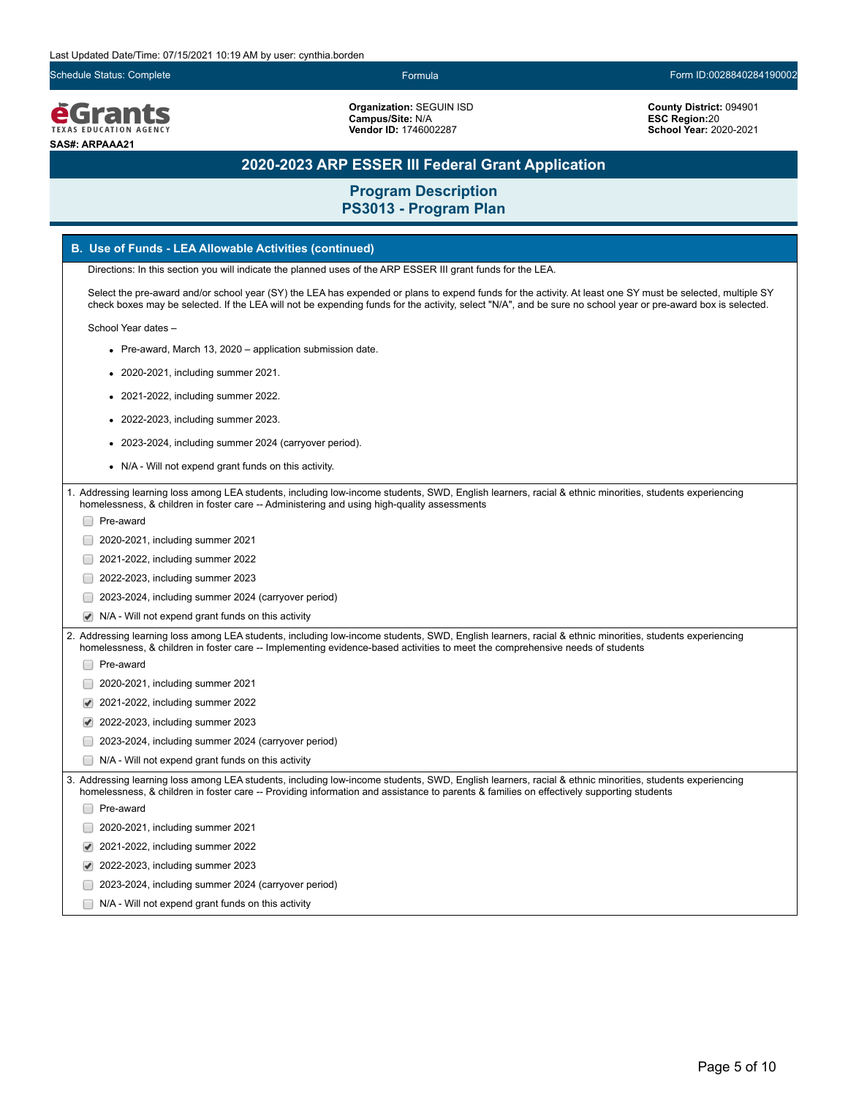Schedule Status: Complete Formula Form ID:0028840284190002

*<u>EGrants</u>* **SAS#: ARPAAA21**

**Organization:** SEGUIN ISD **Campus/Site:** N/A **Vendor ID:** 1746002287

**County District:** 094901 **ESC Region:**20 **School Year:** 2020-2021

# **2020-2023 ARP ESSER III Federal Grant Application**

**Program Description**

| PS3013 - Program Plan                                                                                                                                                                                                                                                                                                      |
|----------------------------------------------------------------------------------------------------------------------------------------------------------------------------------------------------------------------------------------------------------------------------------------------------------------------------|
| B. Use of Funds - LEA Allowable Activities (continued)                                                                                                                                                                                                                                                                     |
| Directions: In this section you will indicate the planned uses of the ARP ESSER III grant funds for the LEA.                                                                                                                                                                                                               |
| Select the pre-award and/or school year (SY) the LEA has expended or plans to expend funds for the activity. At least one SY must be selected, multiple SY<br>check boxes may be selected. If the LEA will not be expending funds for the activity, select "N/A", and be sure no school year or pre-award box is selected. |
| School Year dates -                                                                                                                                                                                                                                                                                                        |
| • Pre-award, March 13, 2020 – application submission date.                                                                                                                                                                                                                                                                 |
| 2020-2021, including summer 2021.                                                                                                                                                                                                                                                                                          |
| 2021-2022, including summer 2022.                                                                                                                                                                                                                                                                                          |
| 2022-2023, including summer 2023.                                                                                                                                                                                                                                                                                          |
| 2023-2024, including summer 2024 (carryover period).                                                                                                                                                                                                                                                                       |
| • N/A - Will not expend grant funds on this activity.                                                                                                                                                                                                                                                                      |
| 1. Addressing learning loss among LEA students, including low-income students, SWD, English learners, racial & ethnic minorities, students experiencing                                                                                                                                                                    |
| homelessness, & children in foster care -- Administering and using high-quality assessments                                                                                                                                                                                                                                |
| Pre-award                                                                                                                                                                                                                                                                                                                  |
| 2020-2021, including summer 2021                                                                                                                                                                                                                                                                                           |
| 2021-2022, including summer 2022                                                                                                                                                                                                                                                                                           |
| 2022-2023, including summer 2023                                                                                                                                                                                                                                                                                           |
| 2023-2024, including summer 2024 (carryover period)                                                                                                                                                                                                                                                                        |
| N/A - Will not expend grant funds on this activity                                                                                                                                                                                                                                                                         |
| 2. Addressing learning loss among LEA students, including low-income students, SWD, English learners, racial & ethnic minorities, students experiencing<br>homelessness, & children in foster care -- Implementing evidence-based activities to meet the comprehensive needs of students                                   |
| Pre-award                                                                                                                                                                                                                                                                                                                  |
| 2020-2021, including summer 2021                                                                                                                                                                                                                                                                                           |
| 2021-2022, including summer 2022                                                                                                                                                                                                                                                                                           |
| 2022-2023, including summer 2023                                                                                                                                                                                                                                                                                           |
| 2023-2024, including summer 2024 (carryover period)                                                                                                                                                                                                                                                                        |
| N/A - Will not expend grant funds on this activity                                                                                                                                                                                                                                                                         |
| 3. Addressing learning loss among LEA students, including low-income students, SWD, English learners, racial & ethnic minorities, students experiencing<br>homelessness, & children in foster care -- Providing information and assistance to parents & families on effectively supporting students                        |
| Pre-award                                                                                                                                                                                                                                                                                                                  |
| 2020-2021, including summer 2021                                                                                                                                                                                                                                                                                           |
| 2021-2022, including summer 2022                                                                                                                                                                                                                                                                                           |
| 2022-2023, including summer 2023                                                                                                                                                                                                                                                                                           |
| 2023-2024, including summer 2024 (carryover period)                                                                                                                                                                                                                                                                        |
| N/A - Will not expend grant funds on this activity                                                                                                                                                                                                                                                                         |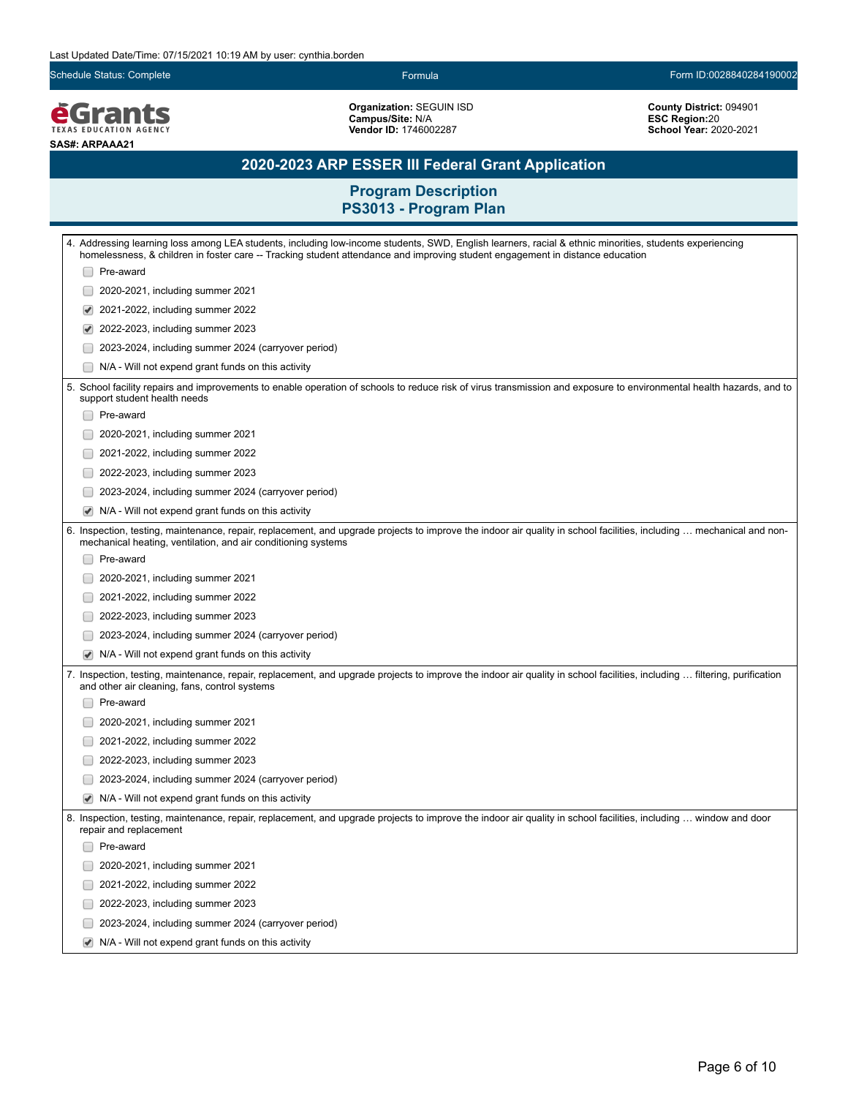Schedule Status: Complete Form ID:0028840284190002

*<u>EGrants</u>* **SAS#: ARPAAA21**

**Organization:** SEGUIN ISD **Campus/Site:** N/A **Vendor ID:** 1746002287

**County District:** 094901 **ESC Region:**20 **School Year:** 2020-2021

# **2020-2023 ARP ESSER III Federal Grant Application**

| 4. Addressing learning loss among LEA students, including low-income students, SWD, English learners, racial & ethnic minorities, students experiencing<br>homelessness, & children in foster care -- Tracking student attendance and improving student engagement in distance education |
|------------------------------------------------------------------------------------------------------------------------------------------------------------------------------------------------------------------------------------------------------------------------------------------|
| Pre-award                                                                                                                                                                                                                                                                                |
| 2020-2021, including summer 2021                                                                                                                                                                                                                                                         |
| 2021-2022, including summer 2022<br>✔                                                                                                                                                                                                                                                    |
| 2022-2023, including summer 2023<br>✔                                                                                                                                                                                                                                                    |
| 2023-2024, including summer 2024 (carryover period)                                                                                                                                                                                                                                      |
| N/A - Will not expend grant funds on this activity                                                                                                                                                                                                                                       |
| 5. School facility repairs and improvements to enable operation of schools to reduce risk of virus transmission and exposure to environmental health hazards, and to<br>support student health needs                                                                                     |
| Pre-award                                                                                                                                                                                                                                                                                |
| 2020-2021, including summer 2021                                                                                                                                                                                                                                                         |
| 2021-2022, including summer 2022                                                                                                                                                                                                                                                         |
| 2022-2023, including summer 2023                                                                                                                                                                                                                                                         |
| 2023-2024, including summer 2024 (carryover period)                                                                                                                                                                                                                                      |
| N/A - Will not expend grant funds on this activity<br>✔                                                                                                                                                                                                                                  |
| 6. Inspection, testing, maintenance, repair, replacement, and upgrade projects to improve the indoor air quality in school facilities, including  mechanical and non-<br>mechanical heating, ventilation, and air conditioning systems                                                   |
| Pre-award                                                                                                                                                                                                                                                                                |
| 2020-2021, including summer 2021                                                                                                                                                                                                                                                         |
| 2021-2022, including summer 2022                                                                                                                                                                                                                                                         |
| 2022-2023, including summer 2023                                                                                                                                                                                                                                                         |
| 2023-2024, including summer 2024 (carryover period)                                                                                                                                                                                                                                      |
| N/A - Will not expend grant funds on this activity<br>$\blacktriangledown$                                                                                                                                                                                                               |
| 7. Inspection, testing, maintenance, repair, replacement, and upgrade projects to improve the indoor air quality in school facilities, including … filtering, purification<br>and other air cleaning, fans, control systems                                                              |
| Pre-award                                                                                                                                                                                                                                                                                |
| 2020-2021, including summer 2021                                                                                                                                                                                                                                                         |
| 2021-2022, including summer 2022                                                                                                                                                                                                                                                         |
| 2022-2023, including summer 2023                                                                                                                                                                                                                                                         |
| 2023-2024, including summer 2024 (carryover period)                                                                                                                                                                                                                                      |
| N/A - Will not expend grant funds on this activity                                                                                                                                                                                                                                       |
| 8. Inspection, testing, maintenance, repair, replacement, and upgrade projects to improve the indoor air quality in school facilities, including  window and door<br>repair and replacement                                                                                              |
| □ Pre-award                                                                                                                                                                                                                                                                              |
| 2020-2021, including summer 2021                                                                                                                                                                                                                                                         |
| 2021-2022, including summer 2022                                                                                                                                                                                                                                                         |
| 2022-2023, including summer 2023                                                                                                                                                                                                                                                         |
| 2023-2024, including summer 2024 (carryover period)                                                                                                                                                                                                                                      |
| $\blacktriangleright$ N/A - Will not expend grant funds on this activity                                                                                                                                                                                                                 |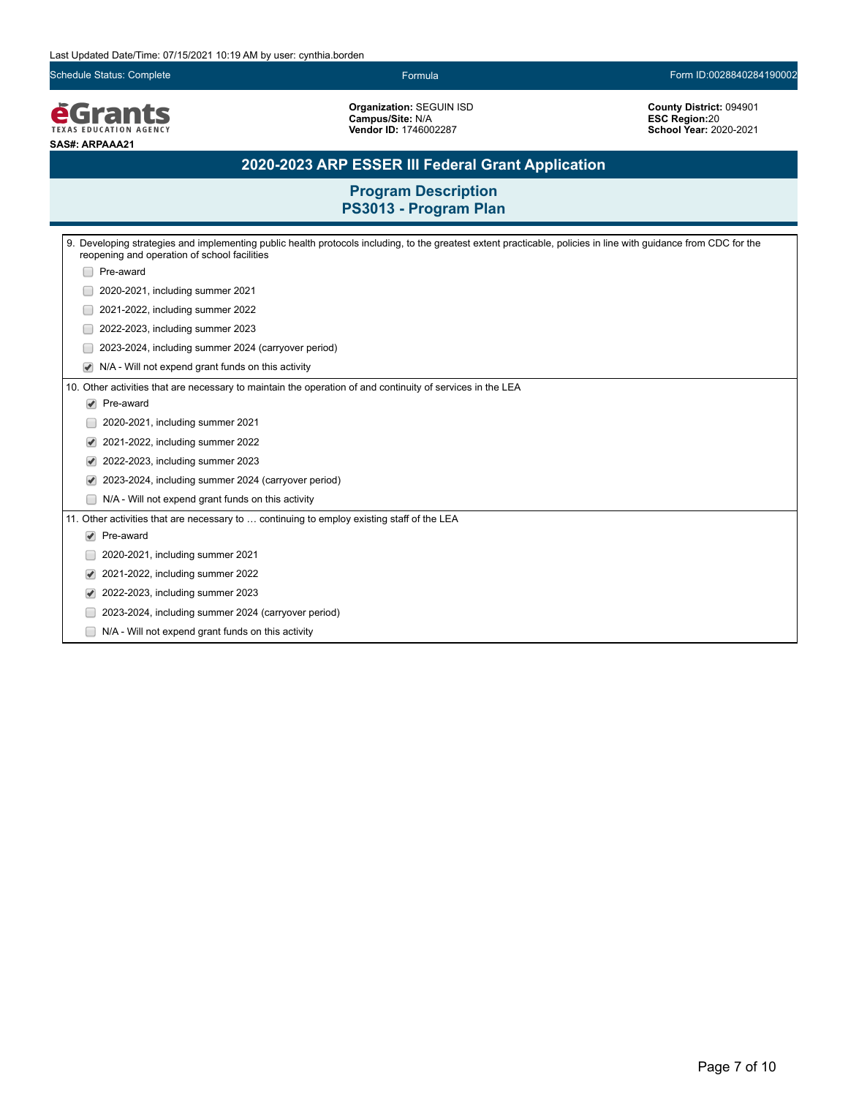Schedule Status: Complete Formula Form ID:0028840284190002

**EGrants SAS#: ARPAAA21**

**Organization:** SEGUIN ISD **Campus/Site:** N/A **Vendor ID:** 1746002287

**County District:** 094901 **ESC Region:**20 **School Year:** 2020-2021

# **2020-2023 ARP ESSER III Federal Grant Application**

|                                                                                            | 9. Developing strategies and implementing public health protocols including, to the greatest extent practicable, policies in line with guidance from CDC for the<br>reopening and operation of school facilities |  |
|--------------------------------------------------------------------------------------------|------------------------------------------------------------------------------------------------------------------------------------------------------------------------------------------------------------------|--|
|                                                                                            | Pre-award                                                                                                                                                                                                        |  |
|                                                                                            | 2020-2021, including summer 2021                                                                                                                                                                                 |  |
|                                                                                            | 2021-2022, including summer 2022                                                                                                                                                                                 |  |
|                                                                                            | 2022-2023, including summer 2023                                                                                                                                                                                 |  |
|                                                                                            | 2023-2024, including summer 2024 (carryover period)                                                                                                                                                              |  |
|                                                                                            | N/A - Will not expend grant funds on this activity                                                                                                                                                               |  |
|                                                                                            | 10. Other activities that are necessary to maintain the operation of and continuity of services in the LEA                                                                                                       |  |
|                                                                                            | $\blacktriangleright$ Pre-award                                                                                                                                                                                  |  |
|                                                                                            | 2020-2021, including summer 2021                                                                                                                                                                                 |  |
| V                                                                                          | 2021-2022, including summer 2022                                                                                                                                                                                 |  |
|                                                                                            | 2022-2023, including summer 2023                                                                                                                                                                                 |  |
|                                                                                            | 2023-2024, including summer 2024 (carryover period)                                                                                                                                                              |  |
|                                                                                            | N/A - Will not expend grant funds on this activity                                                                                                                                                               |  |
| 11. Other activities that are necessary to  continuing to employ existing staff of the LEA |                                                                                                                                                                                                                  |  |
| $\blacktriangledown$                                                                       | Pre-award                                                                                                                                                                                                        |  |
|                                                                                            | 2020-2021, including summer 2021                                                                                                                                                                                 |  |
| $\blacktriangledown$                                                                       | 2021-2022, including summer 2022                                                                                                                                                                                 |  |
|                                                                                            | 2022-2023, including summer 2023                                                                                                                                                                                 |  |
|                                                                                            | 2023-2024, including summer 2024 (carryover period)                                                                                                                                                              |  |
|                                                                                            | N/A - Will not expend grant funds on this activity                                                                                                                                                               |  |
|                                                                                            |                                                                                                                                                                                                                  |  |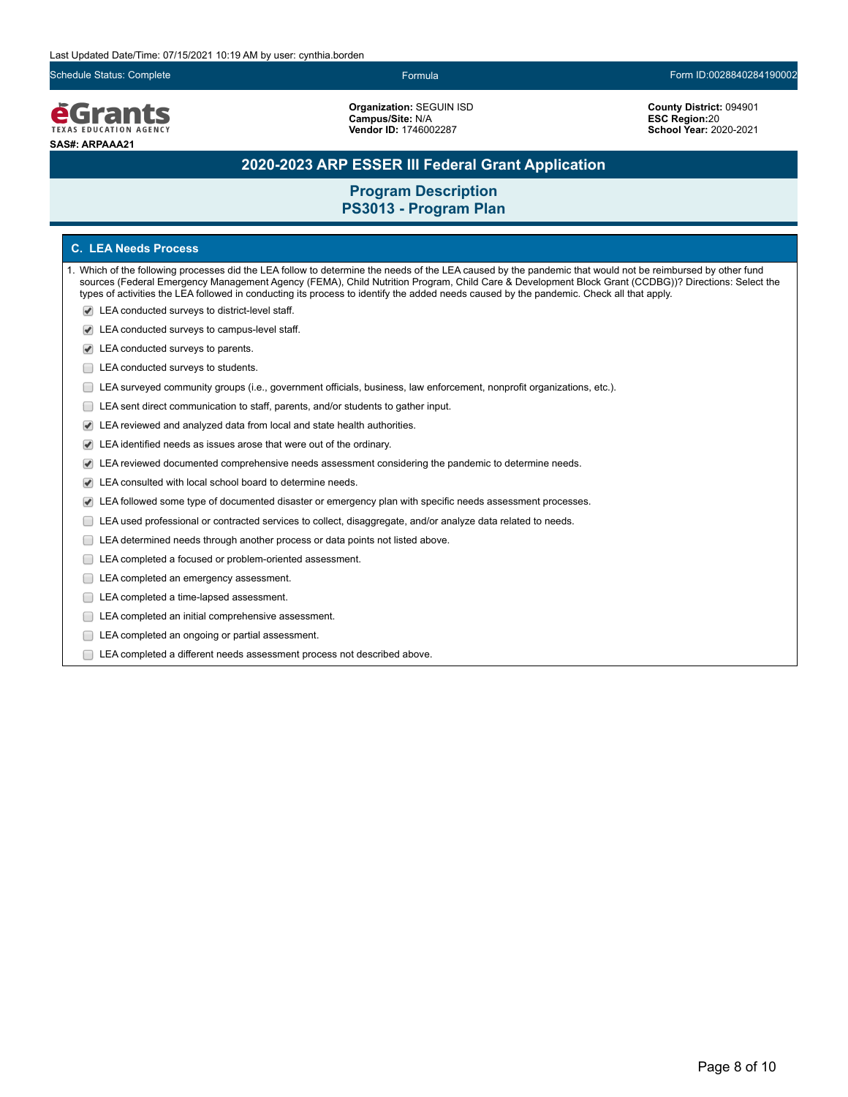**e**Grants **TEXAS EDUCATION AGENCY SAS#: ARPAAA21**

**Organization:** SEGUIN ISD **Campus/Site:** N/A **Vendor ID:** 1746002287

**County District:** 094901 **ESC Region:**20 **School Year:** 2020-2021

## **2020-2023 ARP ESSER III Federal Grant Application**

## **Program Description PS3013 - Program Plan**

### **C. LEA Needs Process**

- 1. Which of the following processes did the LEA follow to determine the needs of the LEA caused by the pandemic that would not be reimbursed by other fund sources (Federal Emergency Management Agency (FEMA), Child Nutrition Program, Child Care & Development Block Grant (CCDBG))? Directions: Select the types of activities the LEA followed in conducting its process to identify the added needs caused by the pandemic. Check all that apply.
	- LEA conducted surveys to district-level staff.
	- LEA conducted surveys to campus-level staff.
	- LEA conducted surveys to parents.
	- **LEA** conducted surveys to students.
	- LEA surveyed community groups (i.e., government officials, business, law enforcement, nonprofit organizations, etc.).
	- LEA sent direct communication to staff, parents, and/or students to gather input.
	- LEA reviewed and analyzed data from local and state health authorities.
	- LEA identified needs as issues arose that were out of the ordinary.
	- LEA reviewed documented comprehensive needs assessment considering the pandemic to determine needs.
	- LEA consulted with local school board to determine needs.
	- LEA followed some type of documented disaster or emergency plan with specific needs assessment processes.
	- LEA used professional or contracted services to collect, disaggregate, and/or analyze data related to needs.
	- LEA determined needs through another process or data points not listed above.
	- LEA completed a focused or problem-oriented assessment.
	- LEA completed an emergency assessment.
	- LEA completed a time-lapsed assessment.
	- **LEA** completed an initial comprehensive assessment.
	- E LEA completed an ongoing or partial assessment.
	- LEA completed a different needs assessment process not described above.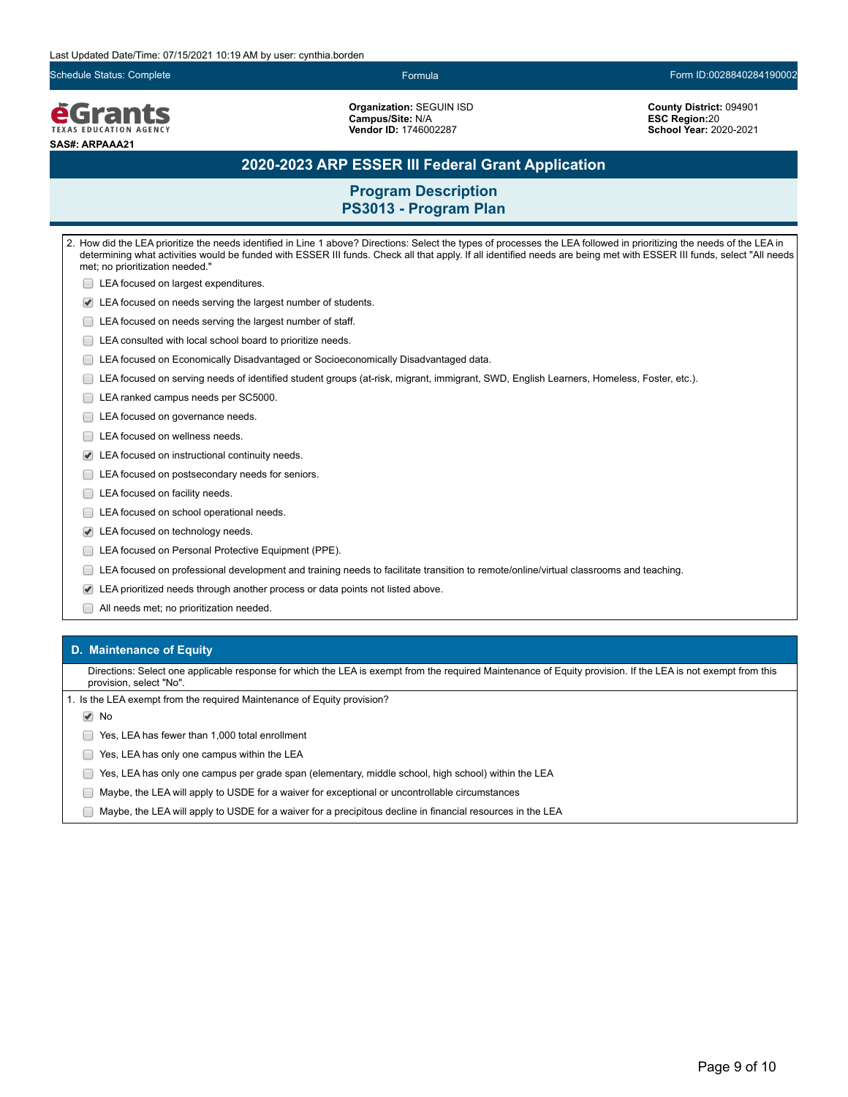Schedule Status: Complete Formula Form ID:0028840284190002

**e**Grants **TEXAS EDUCATION AGENCY SAS#: ARPAAA21**

**Organization:** SEGUIN ISD **Campus/Site:** N/A **Vendor ID:** 1746002287

**County District:** 094901 **ESC Region:**20 **School Year:** 2020-2021

## **2020-2023 ARP ESSER III Federal Grant Application**

## **Program Description PS3013 - Program Plan**

2. How did the LEA prioritize the needs identified in Line 1 above? Directions: Select the types of processes the LEA followed in prioritizing the needs of the LEA in determining what activities would be funded with ESSER III funds. Check all that apply. If all identified needs are being met with ESSER III funds, select "All needs met; no prioritization needed." **LEA** focused on largest expenditures. LEA focused on needs serving the largest number of students. **LEA** focused on needs serving the largest number of staff. LEA consulted with local school board to prioritize needs. LEA focused on Economically Disadvantaged or Socioeconomically Disadvantaged data. LEA focused on serving needs of identified student groups (at-risk, migrant, immigrant, SWD, English Learners, Homeless, Foster, etc.). LEA ranked campus needs per SC5000. LEA focused on governance needs. □ LEA focused on wellness needs. LEA focused on instructional continuity needs. **LEA** focused on postsecondary needs for seniors. LEA focused on facility needs. **LEA** focused on school operational needs. LEA focused on technology needs. **LEA focused on Personal Protective Equipment (PPE).** LEA focused on professional development and training needs to facilitate transition to remote/online/virtual classrooms and teaching. LEA prioritized needs through another process or data points not listed above. All needs met; no prioritization needed.

### **D. Maintenance of Equity**

Directions: Select one applicable response for which the LEA is exempt from the required Maintenance of Equity provision. If the LEA is not exempt from this provision, select "No".

1. Is the LEA exempt from the required Maintenance of Equity provision?

**√** No

Yes, LEA has fewer than 1,000 total enrollment

- **The State State State State State State State State State State State State State State State State State State State State State State State State State State State State State State State State State State State State S**
- Yes, LEA has only one campus per grade span (elementary, middle school, high school) within the LEA
- Maybe, the LEA will apply to USDE for a waiver for exceptional or uncontrollable circumstances
- $\Box$  Maybe, the LEA will apply to USDE for a waiver for a precipitous decline in financial resources in the LEA